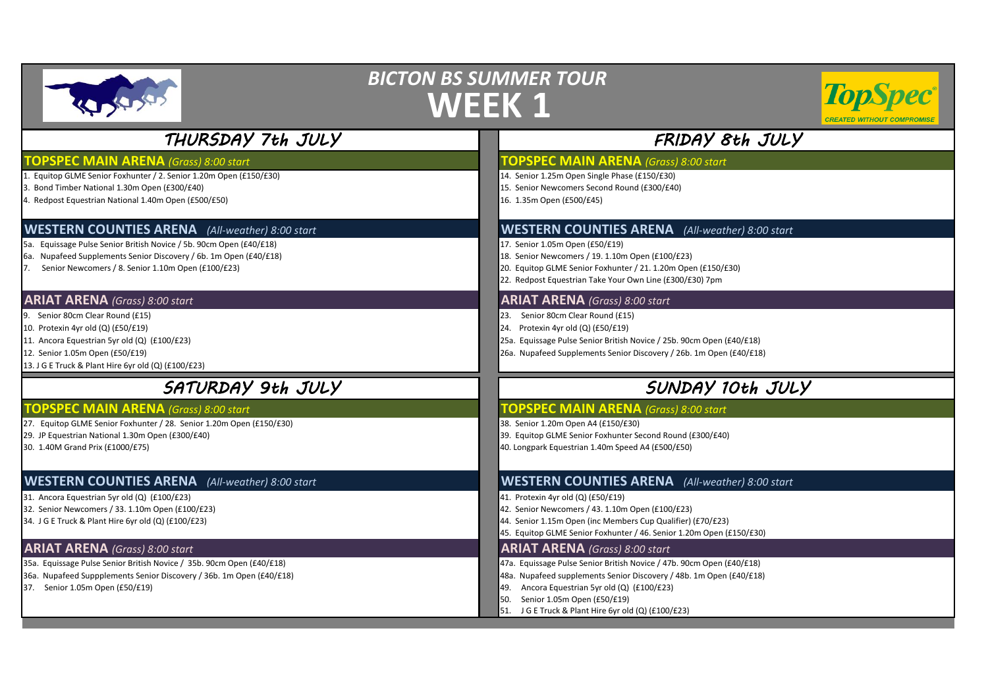|                                                                                                                                                                                                                                                             | <b>BICTON BS SUMMER TOUR</b><br><b>TopSpec</b> ®<br><b>WEEK 1</b><br><b>CREATED WITHOUT COMPRO</b>                                                                                                                                                                                                                                 |
|-------------------------------------------------------------------------------------------------------------------------------------------------------------------------------------------------------------------------------------------------------------|------------------------------------------------------------------------------------------------------------------------------------------------------------------------------------------------------------------------------------------------------------------------------------------------------------------------------------|
| THURSDAY 7th JULY                                                                                                                                                                                                                                           | FRIDAY 8th JULY                                                                                                                                                                                                                                                                                                                    |
| <b>FOPSPEC MAIN ARENA</b> (Grass) 8:00 start<br>1. Equitop GLME Senior Foxhunter / 2. Senior 1.20m Open (£150/£30)<br>3. Bond Timber National 1.30m Open (£300/£40)<br>4. Redpost Equestrian National 1.40m Open (£500/£50)                                 | <b>TOPSPEC MAIN ARENA</b> (Grass) 8:00 start<br>14. Senior 1.25m Open Single Phase (£150/£30)<br>15. Senior Newcomers Second Round (£300/£40)<br>16. 1.35m Open (£500/£45)                                                                                                                                                         |
| <b>WESTERN COUNTIES ARENA</b> (All-weather) 8:00 start<br>5a. Equissage Pulse Senior British Novice / 5b. 90cm Open (£40/£18)<br>6a. Nupafeed Supplements Senior Discovery / 6b. 1m Open (£40/£18)<br>7. Senior Newcomers / 8. Senior 1.10m Open (£100/£23) | <b>WESTERN COUNTIES ARENA</b> (All-weather) 8:00 start<br>17. Senior 1.05m Open (£50/£19)<br>18. Senior Newcomers / 19. 1.10m Open (£100/£23)<br>20. Equitop GLME Senior Foxhunter / 21. 1.20m Open (£150/£30)<br>22. Redpost Equestrian Take Your Own Line (£300/£30) 7pm                                                         |
| <b>ARIAT ARENA</b> (Grass) 8:00 start<br>9. Senior 80cm Clear Round (£15)<br>10. Protexin 4yr old (Q) (£50/£19)<br>11. Ancora Equestrian 5yr old (Q) (£100/£23)<br>12. Senior 1.05m Open (£50/£19)<br>13. J G E Truck & Plant Hire 6yr old (Q) (£100/£23)   | <b>ARIAT ARENA</b> (Grass) 8:00 start<br>23. Senior 80cm Clear Round (£15)<br>24. Protexin 4yr old (Q) (£50/£19)<br>25a. Equissage Pulse Senior British Novice / 25b. 90cm Open (£40/£18)<br>26a. Nupafeed Supplements Senior Discovery / 26b. 1m Open (£40/£18)                                                                   |
| SATURDAY 9th JULY                                                                                                                                                                                                                                           | SUNDAY 10th JULY                                                                                                                                                                                                                                                                                                                   |
| <b>TOPSPEC MAIN ARENA</b> (Grass) 8:00 start<br>27. Equitop GLME Senior Foxhunter / 28. Senior 1.20m Open (£150/£30)<br>29. JP Equestrian National 1.30m Open (£300/£40)<br>30. 1.40M Grand Prix (£1000/£75)                                                | <b>TOPSPEC MAIN ARENA</b> (Grass) 8:00 start<br>38. Senior 1.20m Open A4 (£150/£30)<br>39. Equitop GLME Senior Foxhunter Second Round (£300/£40)<br>40. Longpark Equestrian 1.40m Speed A4 (£500/£50)                                                                                                                              |
| <b>WESTERN COUNTIES ARENA</b> (All-weather) 8:00 start<br>31. Ancora Equestrian 5yr old (Q) (£100/£23)<br>32. Senior Newcomers / 33. 1.10m Open (£100/£23)<br>34. J G E Truck & Plant Hire 6yr old (Q) (£100/£23)                                           | <b>WESTERN COUNTIES ARENA</b> (All-weather) 8:00 start<br>41. Protexin 4yr old (Q) (£50/£19)<br>42. Senior Newcomers / 43. 1.10m Open (£100/£23)<br>44. Senior 1.15m Open (inc Members Cup Qualifier) (£70/£23)<br>45. Equitop GLME Senior Foxhunter / 46. Senior 1.20m Open (£150/£30)                                            |
| <b>ARIAT ARENA</b> (Grass) 8:00 start<br>35a. Equissage Pulse Senior British Novice / 35b. 90cm Open (£40/£18)<br>36a. Nupafeed Suppplements Senior Discovery / 36b. 1m Open (£40/£18)<br>37. Senior 1.05m Open (£50/£19)                                   | <b>ARIAT ARENA</b> (Grass) 8:00 start<br>47a. Equissage Pulse Senior British Novice / 47b. 90cm Open (£40/£18)<br>48a. Nupafeed supplements Senior Discovery / 48b. 1m Open (£40/£18)<br>49. Ancora Equestrian 5yr old (Q) (£100/£23)<br>Senior 1.05m Open (£50/£19)<br>50.<br>51. J G E Truck & Plant Hire 6yr old (Q) (£100/£23) |